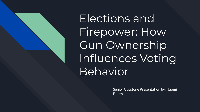Elections and Firepower: How Gun Ownership Influences Voting Behavior

> Senior Capstone Presentation by: Naomi Booth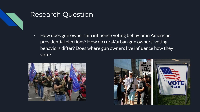

## Research Question:

- How does gun ownership influence voting behavior in American presidential elections? How do rural/urban gun owners' voting behaviors differ? Does where gun owners live influence how they vote?



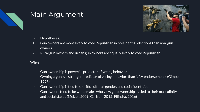

# Main Argument



- Hypotheses:
- 1. Gun owners are more likely to vote Republican in presidential elections than non-gun owners
- 2. Rural gun owners and urban gun owners are equally likely to vote Republican

Why?

- Gun ownership is powerful predictor of voting behavior
- Owning a gun is a stronger predictor of voting behavior than NRA endorsements (Gimpel, 1998)
- Gun ownership is tied to specific cultural, gender, and racial identities
- Gun owners tend to be white males who view gun ownership as tied to their masculinity and social status (Melzer, 2009; Carlson, 2015; Filindra, 2016)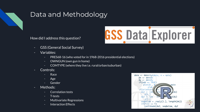

# Data and Methodology

How did I address this question?



- GSS (General Social Survey)
- Variables:
	- PRES68-16 (who voted for in 1968-2016 presidential elections)
	- OWNGUN (own gun in home)
	- COMTYPE (where they live i.e. rural/urban/suburban)
- Controls:
	- **Race**
	- Age
	- Gender
- Methods:
	- Correlation tests
	- T-tests
	- Multivariate Regressions
	- Interaction Effects

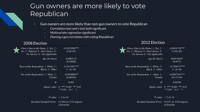# Gun owners are more likely to vote Republican

- Gun owners are more likely than non-gun owners to vote Republican
	- Correlation test and t-test both significant
	- Multivariate regression significant
	- Owning a gun correlates with voting Republican

| Own a Gun in the Home, 1- Yes, 2 -<br>No, 3 - Refused, 8 - Don't Know, 9 -<br>No Answer, 0 - Not Applicable | $-0.1012990$ ***<br>$(3.6e-07)$                                                                      |
|-------------------------------------------------------------------------------------------------------------|------------------------------------------------------------------------------------------------------|
| Age (In Years)                                                                                              | 0.0005123<br>(0.40996)                                                                               |
| Race of the Respondent, 1 White, 2 -<br>Black. 3 - Other                                                    | $-0.2415481$ ***<br>$(< 2e-16)$                                                                      |
| Sex of the Respondent, 1 - Male, 2 -<br>Female                                                              | $-0.0596888**$<br>(0.00433)                                                                          |
| $R^2$                                                                                                       | 0.082                                                                                                |
| Signif. codes                                                                                               | $0$ '***' $0.001$ '**' $0.01$<br>$\overline{``0.05}$ $\cdot$ $\overline{0.1}$ $\cdot$ $\overline{1}$ |
|                                                                                                             | <i>P-value</i> $\lt$ 2.2 <i>e-16</i>                                                                 |

 *Residual Standard Error 0.5364 on 2724 degrees of freedom*

### 2008 Election 2012 Election

| Own a Gun in the Home, 1- Yes, 2 -<br>No, $3$ - Refused, $8$ - Don't Know, $9$ -<br>No Answer, 0 - Not Applicable | $-0.0834716***$<br>$(1.05e-0.5)$                                          |
|-------------------------------------------------------------------------------------------------------------------|---------------------------------------------------------------------------|
| Age (In Years)                                                                                                    | $0.0011830*$<br>(0.0477)                                                  |
| Race of the Respondent, 1 White, 2 -<br>Black. 3 - Other                                                          | $-0.2106375***$<br>$\ll$ 2e-16)                                           |
| Sex of the Respondent, 1 - Male, 2 -<br>Female                                                                    | $-0.0807205***$<br>$(6.17e-0.5)$                                          |
| R <sup>2</sup>                                                                                                    | 0.06796                                                                   |
| Signif. codes                                                                                                     | $0$ '***' 0.001 '**' 0.01<br>$\overline{(*)\,0.05}$ $\cdot$ 0.1 $\cdot$ 1 |
|                                                                                                                   | $P$ -value $\lt 2.2e$ -16                                                 |
| Residual Standard Error 10.5557 on 3148 degrees                                                                   |                                                                           |

*of freedom*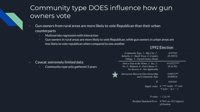# Community type DOES influence how gun owners vote

- Gun owners from rural areas are more likely to vote Republican than their urban counterparts
	- Multivariate regression with interaction

Community type only gathered 3 years

Caveat: extremely limited data

- Gun owners in rural areas are more likely to vote Republican, while gun owners in urban areas are less likely to vote republican when compared to one another

### 1992 Election

| Community Type, 1 - Big City, 2 -<br>Suburbs, 3 - Small Town, 4 - Country<br>Village, 5 - Farm/Country Home      | $-0.07283$<br>(0.19872)                            |
|------------------------------------------------------------------------------------------------------------------|----------------------------------------------------|
| Own a Gun in the Home, 1 - Yes, 2 -<br>No, 3 - Refused, 8 - Don't Know, 9 -<br>$No$ Answer, $0$ - Not Applicable | $-0.43322$ ***<br>$(6.3e-0.5)$                     |
| <b>Interaction Between Gun Ownership</b><br>and Community Type                                                   | $0.09515**$<br>(0.00923)                           |
| $R^2$                                                                                                            | 0.03344                                            |
| Signif. codes                                                                                                    | $0$ '***' $0.001$ '**' $0.01$<br>$*$ '0.05''0.1''1 |
|                                                                                                                  |                                                    |

 *P-value < 2.2e-16*

 *Residual Standard Error 0.7841 on 1313 degrees of freedom*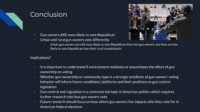

# Conclusion

- Gun owners ARE more likely to vote Republican
- Urban and rural gun owners vote differently



Urban gun owners are still more likely to vote Republican than non-gun owners, but they are less likely to vote Republican than their rural counterparts

#### Implications?

- It is important to understand if environment mediates or exacerbates the effect of gun ownership on voting
- Whether gun ownership or community type is a stronger predictor of gun owners' voting behavior will inform future candidates' platforms and their positions on gun control legislation
- Gun control and regulation is a controversial topic in American politics which requires further research into how gun owners vote
- Future research should focus on how where gun owners live impacts who they vote for in American federal elections